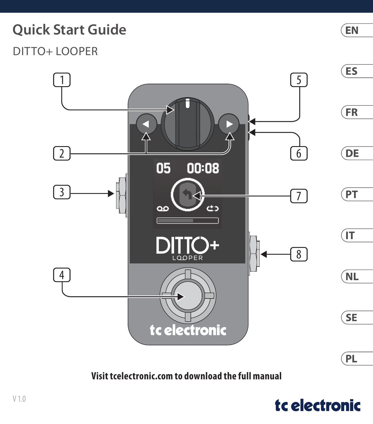#### **Quick Start Guide**

DITTO+ LOOPER



**Visit tcelectronic.com to download the full manual**

#### tc electronic

 $(FN)$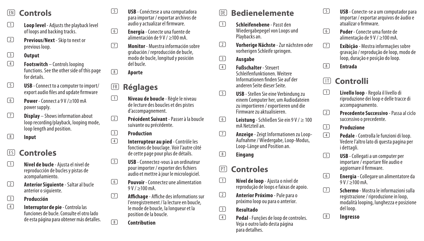### (EN) **Controls**

- (1) **Loop level** Adjusts the playback level of loops and backing tracks.
- (2) **Previous/Next** Skip to next or previous loop.

#### (3) **Output**

- (4) **Footswitch** Controls looping functions. See the other side of this page for details.
- (5) **USB** Connect to a computer to import/ export audio files and update firmware
- (6) **Power** Connect a 9 V /≥100 mA power supply.
- (7) **Display** Shows information about loop recording/playback, looping mode, loop length and position.
- (8) **Input**

# (ES) **Controles**

- (1) **Nivel de bucle** Ajusta el nivel de reproducción de bucles y pistas de acompañamiento.
- (2) **Anterior Siguiente** Saltar al bucle anterior o siguiente.
- (3) **Producción**
- (4) **Interruptor de pie** Controla las funciones de bucle. Consulte el otro lado de esta página para obtener más detalles.
- (5) **USB** Conéctese a una computadora para importar / exportar archivos de audio y actualizar el firmware.
- (6) **Energía**  Conecte una fuente de alimentación de 9 V / ≥100 mA.
- (7) **Monitor** Muestra información sobre grabación / reproducción de bucle, modo de bucle, longitud y posición del bucle.
- (8) **Aporte**

## (FR) **Réglages**

- (1) **Niveau de boucle** Règle le niveau de lecture des boucles et des pistes d'accompagnement.
- (2) **Précédent Suivant** Passer à la boucle suivante ou précédente.

#### (3) **Production**

- (4) **Interrupteur au pied** Contrôle les fonctions de bouclage. Voir l'autre côté de cette page pour plus de détails.
- (5) **USB** Connectez-vous à un ordinateur pour importer / exporter des fichiers audio et mettre à jour le micrologiciel.
- (6) **Pouvoir**  Connectez une alimentation  $9 V / > 100 mA$
- (7) **Affichage** Affiche des informations sur l'enregistrement / la lecture en boucle, le mode de boucle, la longueur et la position de la boucle.

#### (8) **Contribution**

#### (DE) **Bedienelemente**

- (1) **Schleifenebene** Passt den Wiedergabepegel von Loops und Playbacks an.
- (2) **Vorherige Nächste** Zur nächsten oder vorherigen Schleife springen.
- (3) **Ausgabe**
- (4) **Fußschalter** Steuert Schleifenfunktionen. Weitere Informationen finden Sie auf der anderen Seite dieser Seite.
- (5) **USB** Stellen Sie eine Verbindung zu einem Computer her, um Audiodateien zu importieren / exportieren und die Firmware zu aktualisieren.
- (6) **Leistung**  Schließen Sie ein 9 V / ≥ 100 mA Netzteil an.
- (7) **Anzeige** Zeigt Informationen zu Loop-Aufnahme / Wiedergabe, Loop-Modus, Loop-Länge und Position an.
- (8) **Eingang**

## (PT) **Controles**

- (1) **Nível de loop** Ajusta o nível de reprodução de loops e faixas de apoio.
- (2) **Anterior Próximo** Pule para o próximo loop ou para o anterior.

#### (3) **Resultado**

(4) **Pedal** - Funções de loop de controles. Veja o outro lado desta página para detalhes.

- (5) **USB** Conecte-se a um computador para importar / exportar arquivos de áudio e atualizar o firmware.
- (6) **Poder**  Conecte uma fonte de alimentação de 9 V / ≥100 mA.
- (7) **Exibição** Mostra informações sobre gravação / reprodução de loop, modo de loop, duração e posição do loop.

(8) **Entrada**

## (IT) **Controlli**

- (1) **Livello loop** Regola il livello di riproduzione dei loop e delle tracce di accompagnamento.
- (2) **Precedente Successivo** Passa al ciclo successivo o precedente.
- (3) **Produzione**
- (4) **Pedale** Controlla le funzioni di loop. Vedere l'altro lato di questa pagina per i dettagli.
- (5) **USB** Collegati a un computer per importare / esportare file audio e aggiornare il firmware.
- (6) **Energia**  Collegare un alimentatore da  $9 V / 5100 mA$
- (7) **Schermo** Mostra le informazioni sulla registrazione / riproduzione in loop, modalità looping, lunghezza e posizione del loop.

(8) **Ingresso**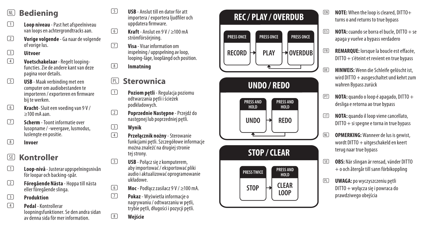## (NL) **Bediening**

(1) **Loop niveau** - Past het afspeelniveau van loops en achtergrondtracks aan.

(2) **Vorige volgende** - Ga naar de volgende of vorige lus.

- (3) **Uitvoer**
- (4) **Voetschakelaar** Regelt loopingfuncties. Zie de andere kant van deze pagina voor details.
- (5) **USB** Maak verbinding met een computer om audiobestanden te importeren / exporteren en firmware bij te werken.
- (6) **Kracht** Sluit een voeding van 9 V / ≥100 mA aan.
- (7) **Scherm** Toont informatie over lusopname / -weergave, lusmodus, luslengte en positie.
- (8) **Invoer**

## (SE) **Kontroller**

- (1) **Loop-nivå** Justerar uppspelningsnivån för loopar och backing-spår.
- (2) **Föregående Nästa** Hoppa till nästa eller föregående slinga.
- (3) **Produktion**
- (4) **Pedal** Kontrollerar loopningsfunktioner. Se den andra sidan av denna sida för mer information.
- (5) **USB** Anslut till en dator för att importera / exportera ljudfiler och uppdatera firmware.
- (6) **Kraft**  Anslut en 9 V / ≥100 mA strömförsörining.
- (7) **Visa** Visar information om inspelning / uppspelning av loop, looping-läge, looplängd och position.
- (8) **Inmatning**

## (PL) **Sterownica**

- (1) **Poziom pętli** Regulacja poziomu odtwarzania pętli i ścieżek podkładowych.
- (2) **Poprzednie Następne** Przejdź do następnej lub poprzedniej pętli.
- (3) **Wynik**
- (4) **Przełącznik nożny** Sterowanie funkcjami pętli. Szczegółowe informacje można znaleźć na drugiej stronie tej strony.
- (5) **USB** Połącz się z komputerem, aby importować / eksportować pliki audio i aktualizować oprogramowanie układowe.
- (6) **Moc**  Podłącz zasilacz 9 V / ≥100 mA.
- (7) **Pokaz** Wyświetla informacje o nagrywaniu / odtwarzaniu w pętli, trybie pętli, długości i pozycji pętli.

(8) **Wejście**

# **REC / PLAY / OVERDUB**



# **UNDO / REDO**



# **STOP / CLEAR**



- (EN) **NOTE:** When the loop is cleared, DITTO+ turns o and returns to true bypass
- (ES) **NOTA:** cuando se borra el bucle, DITTO + se apaga y vuelve a bypass verdadero
- (FR) **REMARQUE:** lorsque la boucle est effacée, DITTO + s'éteint et revient en true bypass
- (DE) **HINWEIS:** Wenn die Schleife gelöscht ist, wird DITTO + ausgeschaltet und kehrt zum wahren Bypass zurück
- (PT) **NOTA:** quando o loop é apagado, DITTO + desliga e retorna ao true bypass
- (IT) **NOTA:** quando il loop viene cancellato,  $DITO + si$  speane e torna in true bypass
- (NL) **OPMERKING:** Wanneer de lus is gewist, wordt DITTO + uitgeschakeld en keert terug naar true bypass
- (SE) **OBS:** När slingan är rensad, vänder DITTO + o och återgår till sann förbikoppling
- (PL) **UWAGA:** po wyczyszczeniu pętli DITTO + wyłącza się i powraca do prawdziwego obejścia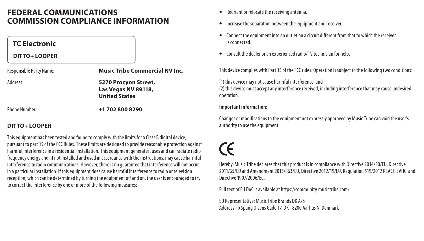#### **FEDERAL COMMUNICATIONS COMMISSION COMPLIANCE INFORMATION**

| <b>TC Electronic</b>           |                                                                     |
|--------------------------------|---------------------------------------------------------------------|
| <b>DITTO+ LOOPER</b>           |                                                                     |
| <b>Responsible Party Name:</b> | <b>Music Tribe Commercial NV Inc.</b>                               |
| Address <sup>.</sup>           | 5270 Procyon Street,<br>Las Vegas NV 89118,<br><b>United States</b> |
| Phone Number                   | +1 702 800 8290                                                     |

#### **DITTO+ LOOPER**

This equipment has been tested and found to comply with the limits for a Class B digital device, pursuant to part 15 of the FCC Rules. These limits are designed to provide reasonable protection against harmful interference in a residential installation. This equipment generates, uses and can radiate radio frequency energy and, if not installed and used in accordance with the instructions, may cause harmful interference to radio communications. However, there is no guarantee that interference will not occur in a particular installation. If this equipment does cause harmful interference to radio or television reception, which can be determined by turning the equipment off and on, the user is encouraged to try to correct the interference by one or more of the following measures:

- Reorient or relocate the receiving antenna.
- Increase the separation between the equipment and receiver.
- Connect the equipment into an outlet on a circuit different from that to which the receiver is connected.
- Consult the dealer or an experienced radio/TV technician for help.

This device complies with Part 15 of the FCC rules. Operation is subject to the following two conditions:

(1) this device may not cause harmful interference, and

(2) this device must accept any interference received, including interference that may cause undesired operation.

#### **Important information:**

Changes or modifications to the equipment not expressly approved by Music Tribe can void the user's authority to use the equipment.

# $\epsilon$

Hereby, Music Tribe declares that this product is in compliance with Directive 2014/30/EU, Directive 2011/65/EU and Amendment 2015/863/EU, Directive 2012/19/EU, Regulation 519/2012 REACH SVHC and Directive 1907/2006/EC.

Full text of EU DoC is available at https://community.musictribe.com/

EU Representative: Music Tribe Brands DK A/S Address: Ib Spang Olsens Gade 17, DK - 8200 Aarhus N, Denmark